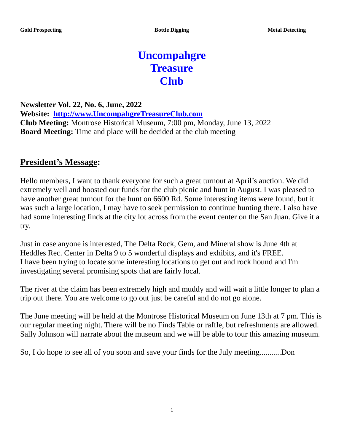# **Uncompahgre Treasure Club**

**Newsletter Vol. 22, No. 6, June, 2022 Website: [http://www.UncompahgreTreasureClub.com](http://www.uncompahgretreasureclub.com/) Club Meeting:** Montrose Historical Museum, 7:00 pm, Monday, June 13, 2022 **Board Meeting:** Time and place will be decided at the club meeting

#### **President's Message:**

Hello members, I want to thank everyone for such a great turnout at April's auction. We did extremely well and boosted our funds for the club picnic and hunt in August. I was pleased to have another great turnout for the hunt on 6600 Rd. Some interesting items were found, but it was such a large location, I may have to seek permission to continue hunting there. I also have had some interesting finds at the city lot across from the event center on the San Juan. Give it a try.

Just in case anyone is interested, The Delta Rock, Gem, and Mineral show is June 4th at Heddles Rec. Center in Delta 9 to 5 wonderful displays and exhibits, and it's FREE. I have been trying to locate some interesting locations to get out and rock hound and I'm investigating several promising spots that are fairly local.

The river at the claim has been extremely high and muddy and will wait a little longer to plan a trip out there. You are welcome to go out just be careful and do not go alone.

The June meeting will be held at the Montrose Historical Museum on June 13th at 7 pm. This is our regular meeting night. There will be no Finds Table or raffle, but refreshments are allowed. Sally Johnson will narrate about the museum and we will be able to tour this amazing museum.

So, I do hope to see all of you soon and save your finds for the July meeting...........Don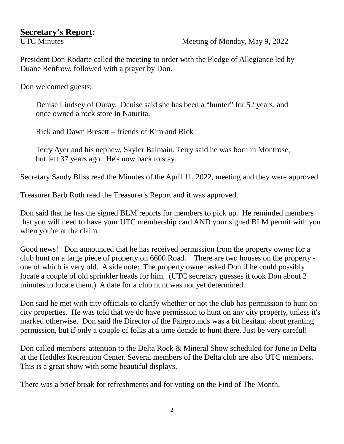# **Secretary's Report:**<br>UTC Minutes

Meeting of Monday, May 9, 2022

President Don Rodarte called the meeting to order with the Pledge of Allegiance led by Duane Renfrow, followed with a prayer by Don.

Don welcomed guests:

 Denise Lindsey of Ouray. Denise said she has been a "hunter" for 52 years, and once owned a rock store in Naturita.

Rick and Dawn Bresett – friends of Kim and Rick

 Terry Ayer and his nephew, Skyler Balmain. Terry said he was born in Montrose, but left 37 years ago. He's now back to stay.

Secretary Sandy Bliss read the Minutes of the April 11, 2022, meeting and they were approved.

Treasurer Barb Roth read the Treasurer's Report and it was approved.

Don said that he has the signed BLM reports for members to pick up. He reminded members that you will need to have your UTC membership card AND your signed BLM permit with you when you're at the claim.

Good news! Don announced that he has received permission from the property owner for a club hunt on a large piece of property on 6600 Road. There are two houses on the property one of which is very old. A side note: The property owner asked Don if he could possibly locate a couple of old sprinkler heads for him. (UTC secretary guesses it took Don about 2 minutes to locate them.) A date for a club hunt was not yet determined.

Don said he met with city officials to clarify whether or not the club has permission to hunt on city properties. He was told that we do have permission to hunt on any city property, unless it's marked otherwise. Don said the Director of the Fairgrounds was a bit hesitant about granting permission, but if only a couple of folks at a time decide to hunt there. Just be very careful!

Don called members' attention to the Delta Rock & Mineral Show scheduled for June in Delta at the Heddles Recreation Center. Several members of the Delta club are also UTC members. This is a great show with some beautiful displays.

There was a brief break for refreshments and for voting on the Find of The Month.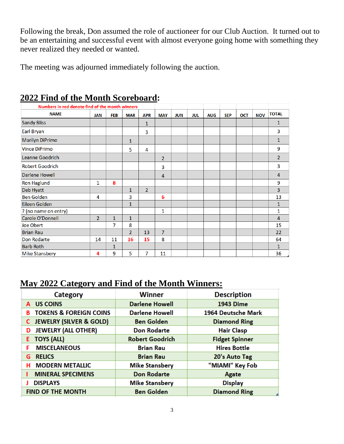Following the break, Don assumed the role of auctioneer for our Club Auction. It turned out to be an entertaining and successful event with almost everyone going home with something they never realized they needed or wanted.

The meeting was adjourned immediately following the auction.

| Numbers in red denote find of the month winners |                |            |                |                |                |            |            |            |            |            |            |                |
|-------------------------------------------------|----------------|------------|----------------|----------------|----------------|------------|------------|------------|------------|------------|------------|----------------|
| <b>NAME</b>                                     | <b>JAN</b>     | <b>FEB</b> | <b>MAR</b>     | <b>APR</b>     | <b>MAY</b>     | <b>JUN</b> | <b>JUL</b> | <b>AUG</b> | <b>SEP</b> | <b>OCT</b> | <b>NOV</b> | <b>TOTAL</b>   |
| <b>Sandy Bliss</b>                              |                |            |                | 1              |                |            |            |            |            |            |            | 1              |
| <b>Earl Bryan</b>                               |                |            |                | 3              |                |            |            |            |            |            |            | 3              |
| <b>Marilyn DiPrimo</b>                          |                |            | 1              |                |                |            |            |            |            |            |            | 1              |
| <b>Vince DiPrimo</b>                            |                |            | 5              | 4              |                |            |            |            |            |            |            | 9              |
| Leanne Goodrich                                 |                |            |                |                | $\overline{2}$ |            |            |            |            |            |            | $\overline{2}$ |
| <b>Robert Goodrich</b>                          |                |            |                |                | 3              |            |            |            |            |            |            | 3              |
| Darlene Howell                                  |                |            |                |                | 4              |            |            |            |            |            |            | 4              |
| <b>Ron Haglund</b>                              | 1              | 8          |                |                |                |            |            |            |            |            |            | 9              |
| Deb Hyatt                                       |                |            | 1              | $\overline{2}$ |                |            |            |            |            |            |            | 3              |
| <b>Ben Golden</b>                               | 4              |            | 3              |                | 6              |            |            |            |            |            |            | 13             |
| Eileen Golden                                   |                |            | $\mathbf{1}$   |                |                |            |            |            |            |            |            | $\mathbf{1}$   |
| ? (no name on entry)                            |                |            |                |                | 1              |            |            |            |            |            |            | 1              |
| Carole O'Donnell                                | $\overline{2}$ | 1          | $\mathbf{1}$   |                |                |            |            |            |            |            |            | 4              |
| Joe Obert                                       |                | 7          | 8              |                |                |            |            |            |            |            |            | 15             |
| <b>Brian Rau</b>                                |                |            | $\overline{2}$ | 13             | $\overline{7}$ |            |            |            |            |            |            | 22             |
| <b>Don Rodarte</b>                              | 14             | 11         | 16             | 15             | 8              |            |            |            |            |            |            | 64             |
| <b>Barb Roth</b>                                |                | 1          |                |                |                |            |            |            |            |            |            | 1              |
| <b>Mike Stansbery</b>                           | 4              | 9          | 5              | 7              | 11             |            |            |            |            |            |            | 36             |

#### **2022 Find of the Month Scoreboard:**

#### **May 2022 Category and Find of the Month Winners:**

| <b>Category</b>                        | <b>Winner</b>          | <b>Description</b>    |  |  |  |
|----------------------------------------|------------------------|-----------------------|--|--|--|
| A US COINS                             | <b>Darlene Howell</b>  | <b>1943 Dime</b>      |  |  |  |
| <b>TOKENS &amp; FOREIGN COINS</b><br>в | <b>Darlene Howell</b>  | 1964 Deutsche Mark    |  |  |  |
| <b>JEWELRY (SILVER &amp; GOLD)</b>     | <b>Ben Golden</b>      | <b>Diamond Ring</b>   |  |  |  |
| <b>JEWELRY (ALL OTHER)</b><br>D        | <b>Don Rodarte</b>     | <b>Hair Clasp</b>     |  |  |  |
| <b>E</b> TOYS (ALL)                    | <b>Robert Goodrich</b> | <b>Fidget Spinner</b> |  |  |  |
| <b>MISCELANEOUS</b><br>F               | <b>Brian Rau</b>       | <b>Hires Bottle</b>   |  |  |  |
| <b>RELICS</b><br>G                     | <b>Brian Rau</b>       | 20's Auto Tag         |  |  |  |
| <b>MODERN METALLIC</b><br>н            | <b>Mike Stansbery</b>  | "MIAMI" Key Fob       |  |  |  |
| <b>MINERAL SPECIMENS</b>               | <b>Don Rodarte</b>     | Agate                 |  |  |  |
| <b>DISPLAYS</b>                        | <b>Mike Stansbery</b>  | <b>Display</b>        |  |  |  |
| <b>FIND OF THE MONTH</b>               | <b>Ben Golden</b>      | <b>Diamond Ring</b>   |  |  |  |